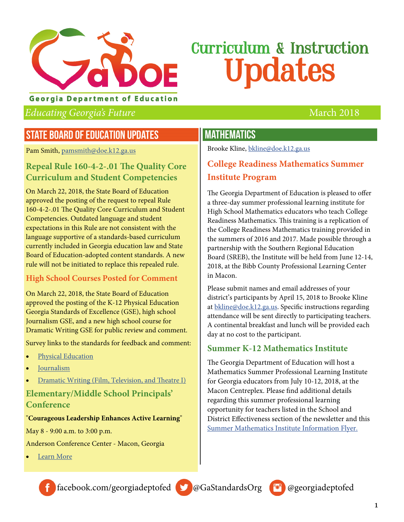

#### **Georgia Department of Education**

#### Educating Georgia's Future March 2018

### STATE BOARD OF EDUCATION UPDATES

Pam Smith, [pamsmith@doe.k12.ga.us](mailto:pamsmith@doe.k12.ga.us)

#### **Repeal Rule 160-4-2-.01 The Quality Core Curriculum and Student Competencies**

On March 22, 2018, the State Board of Education approved the posting of the request to repeal Rule 160-4-2-.01 The Quality Core Curriculum and Student Competencies. Outdated language and student expectations in this Rule are not consistent with the language supportive of a standards-based curriculum currently included in Georgia education law and State Board of Education-adopted content standards. A new rule will not be initiated to replace this repealed rule.

#### **High School Courses Posted for Comment**

On March 22, 2018, the State Board of Education approved the posting of the K-12 Physical Education Georgia Standards of Excellence (GSE), high school Journalism GSE, and a new high school course for Dramatic Writing GSE for public review and comment.

Survey links to the standards for feedback and comment:

- [Physical Education](https://www.georgiastandards.org/Pages/Physical-Education-Georgia-Performance-Standards-Surveys.aspx)
- [Journalism](https://www.georgiastandards.org/Pages/English-Language-Arts-Survey.aspx)
- [Dramatic Writing \(Film, Television, and Theatre I\)](https://www.georgiastandards.org/Pages/Fine-Arts-Standards-Survey.aspx)

#### **Elementary/Middle School Principals' Conference**

#### "**Courageous Leadership Enhances Active Learning**"

May 8 - 9:00 a.m. to 3:00 p.m.

Anderson Conference Center - Macon, Georgia

[Learn More](https://gael.ps.membersuite.com/events/ViewEvent.aspx?contextID=e386dc0a-0078-c082-5657-0b3de19d1b81)

#### MATHEMATICS

Brooke Kline, [bkline@doe.k12.ga.us](mailto:bkline@doe.k12.ga.us) 

### **College Readiness Mathematics Summer Institute Program**

The Georgia Department of Education is pleased to offer a three-day summer professional learning institute for High School Mathematics educators who teach College Readiness Mathematics. This training is a replication of the College Readiness Mathematics training provided in the summers of 2016 and 2017. Made possible through a partnership with the Southern Regional Education Board (SREB), the Institute will be held from June 12-14, 2018, at the Bibb County Professional Learning Center in Macon.

Please submit names and email addresses of your district's participants by April 15, 2018 to Brooke Kline at [bkline@doe.k12.ga.us](mailto:bkline@doe.k12.ga.us). Specific instructions regarding attendance will be sent directly to participating teachers. A continental breakfast and lunch will be provided each day at no cost to the participant.

#### **Summer K-12 Mathematics Institute**

The Georgia Department of Education will host a Mathematics Summer Professional Learning Institute for Georgia educators from July 10-12, 2018, at the Macon Centreplex. Please find additional details regarding this summer professional learning opportunity for teachers listed in the School and District Effectiveness section of the newsletter and this [Summer Mathematics Institute Information Flyer.](http://www.gadoe.org/Curriculum-Instruction-and-Assessment/Curriculum-and-Instruction/Documents/Mathematics/2018-Summer-Math-Institute-Flyer.pdf)





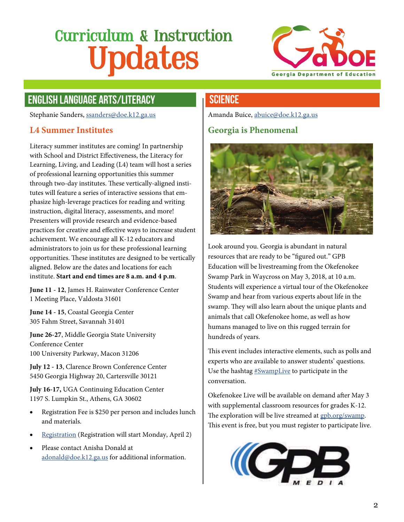

# ENGLISH LANGUAGE ARTS/LITERACY

Stephanie Sanders, [ssanders@doe.k12.ga.us](mailto:ssanders@doe.k12.ga.us)

#### **L4 Summer Institutes**

Literacy summer institutes are coming! In partnership with School and District Effectiveness, the Literacy for Learning, Living, and Leading (L4) team will host a series of professional learning opportunities this summer through two-day institutes. These vertically-aligned institutes will feature a series of interactive sessions that emphasize high-leverage practices for reading and writing instruction, digital literacy, assessments, and more! Presenters will provide research and evidence-based practices for creative and effective ways to increase student achievement. We encourage all K-12 educators and administrators to join us for these professional learning opportunities. These institutes are designed to be vertically aligned. Below are the dates and locations for each institute. **Start and end times are 8 a.m. and 4 p.m**.

**June 11 - 12**, James H. Rainwater Conference Center 1 Meeting Place, Valdosta 31601

**June 14 - 15**, Coastal Georgia Center 305 Fahm Street, Savannah 31401

**June 26-27**, Middle Georgia State University Conference Center 100 University Parkway, Macon 31206

**July 12 - 13**, Clarence Brown Conference Center 5450 Georgia Highway 20, Cartersville 30121

**July 16-17,** UGA Continuing Education Center 1197 S. Lumpkin St., Athens, GA 30602

- Registration Fee is \$250 per person and includes lunch and materials.
- [Registration](https://l4ga.wufoo.com/forms/qywr3ca1rfi71p/) (Registration will start Monday, April 2)
- Please contact Anisha Donald at [adonald@doe.k12.ga.us](mailto:adonald@doe.k12.ga.us) for additional information.

#### **SCIENCE**

Amanda Buice, [abuice@doe.k12.ga.us](mailto:abuice@doe.k12.ga.us)

#### **Georgia is Phenomenal**



Look around you. Georgia is abundant in natural resources that are ready to be "figured out." GPB Education will be livestreaming from the Okefenokee Swamp Park in Waycross on May 3, 2018, at 10 a.m. Students will experience a virtual tour of the Okefenokee Swamp and hear from various experts about life in the swamp. They will also learn about the unique plants and animals that call Okefenokee home, as well as how humans managed to live on this rugged terrain for hundreds of years.

This event includes interactive elements, such as polls and experts who are available to answer students' questions. Use the hashtag  $#Swampling$  to participate in the conversation.

Okefenokee Live will be available on demand after May 3 with supplemental classroom resources for grades K-12. The exploration will be live streamed at [gpb.org/swamp](http://gpb.org/swamp). This event is free, but you must register to participate live.

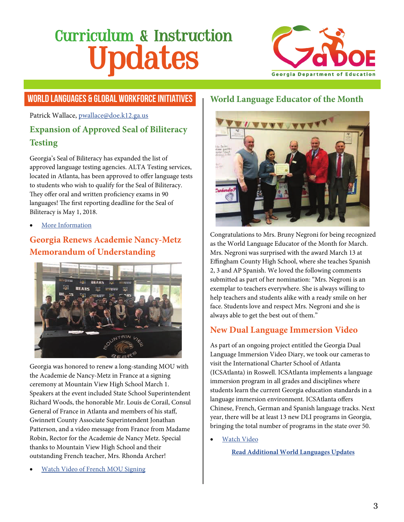

#### **WORLD LANGUAGES & GLOBAL WORKFORCE INITIATIVES** World Language Educator of the Month

Patrick Wallace, [pwallace@doe.k12.ga.us](mailto:pwallace@doe.k12.ga.us)

### **Expansion of Approved Seal of Biliteracy Testing**

Georgia's Seal of Biliteracy has expanded the list of approved language testing agencies. ALTA Testing services, located in Atlanta, has been approved to offer language tests to students who wish to qualify for the Seal of Biliteracy. They offer oral and written proficiency exams in 90 languages! The first reporting deadline for the Seal of Biliteracy is May 1, 2018.

[More Information](https://www.gadoe.org/Curriculum-Instruction-and-Assessment/Curriculum-and-Instruction/Pages/Georgia%27s-Seal-of-Biliteracy.aspx)

### **Georgia Renews Academie Nancy-Metz Memorandum of Understanding**



Georgia was honored to renew a long-standing MOU with the Academie de Nancy-Metz in France at a signing ceremony at Mountain View High School March 1. Speakers at the event included State School Superintendent Richard Woods, the honorable Mr. Louis de Corail, Consul General of France in Atlanta and members of his staff, Gwinnett County Associate Superintendent Jonathan Patterson, and a video message from France from Madame Robin, Rector for the Academie de Nancy Metz. Special thanks to Mountain View High School and their outstanding French teacher, Mrs. Rhonda Archer!

[Watch Video of French MOU Signing](http://publish.gwinnett.k12.ga.us/gcps/home/gcpstv/videos/news/focus/259022236?WCM_PAGE.gcpstv-episodes=1)



Congratulations to Mrs. Bruny Negroni for being recognized as the World Language Educator of the Month for March. Mrs. Negroni was surprised with the award March 13 at Effingham County High School, where she teaches Spanish 2, 3 and AP Spanish. We loved the following comments submitted as part of her nomination: "Mrs. Negroni is an exemplar to teachers everywhere. She is always willing to help teachers and students alike with a ready smile on her face. Students love and respect Mrs. Negroni and she is always able to get the best out of them."

#### **New Dual Language Immersion Video**

As part of an ongoing project entitled the Georgia Dual Language Immersion Video Diary, we took our cameras to visit the International Charter School of Atlanta (ICSAtlanta) in Roswell. ICSAtlanta implements a language immersion program in all grades and disciplines where students learn the current Georgia education standards in a language immersion environment. ICSAtlanta offers Chinese, French, German and Spanish language tracks. Next year, there will be at least 13 new DLI programs in Georgia, bringing the total number of programs in the state over 50.

[Watch Video](https://www.youtube.com/watch?v=hrat864yWBw&feature=youtu.be)

**[Read Additional World Languages Updates](https://www.gadoe.org/Curriculum-Instruction-and-Assessment/Curriculum-and-Instruction/Documents/GaDOE%20World%20Language%20Update%20March%2013th%2c%202018.pdf)**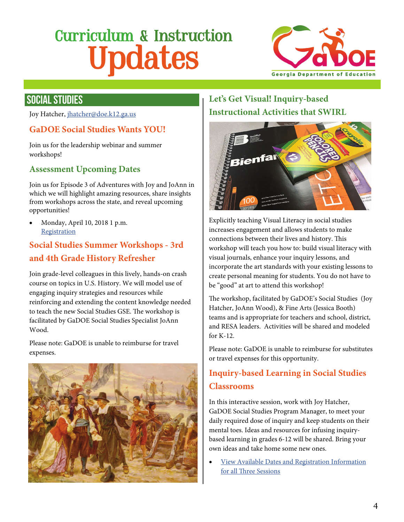

### SOCIAL STUDIES

Joy Hatcher, [jhatcher@doe.k12.ga.us](mailto:jhatcher@doe.k12.ga.us)

#### **GaDOE Social Studies Wants YOU!**

Join us for the leadership webinar and summer workshops!

#### **Assessment Upcoming Dates**

Join us for Episode 3 of Adventures with Joy and JoAnn in which we will highlight amazing resources, share insights from workshops across the state, and reveal upcoming opportunities!

 Monday, April 10, 2018 1 p.m. **[Registration](https://attendee.gotowebinar.com/register/2551630426895838722)** 

### **Social Studies Summer Workshops - 3rd and 4th Grade History Refresher**

Join grade-level colleagues in this lively, hands-on crash course on topics in U.S. History. We will model use of engaging inquiry strategies and resources while reinforcing and extending the content knowledge needed to teach the new Social Studies GSE. The workshop is facilitated by GaDOE Social Studies Specialist JoAnn Wood.

Please note: GaDOE is unable to reimburse for travel expenses.



### **Let's Get Visual! Inquiry-based Instructional Activities that SWIRL**



Explicitly teaching Visual Literacy in social studies increases engagement and allows students to make connections between their lives and history. This workshop will teach you how to: build visual literacy with visual journals, enhance your inquiry lessons, and incorporate the art standards with your existing lessons to create personal meaning for students. You do not have to be "good" at art to attend this workshop!

The workshop, facilitated by GaDOE's Social Studies (Joy Hatcher, JoAnn Wood), & Fine Arts (Jessica Booth) teams and is appropriate for teachers and school, district, and RESA leaders. Activities will be shared and modeled for K-12.

Please note: GaDOE is unable to reimburse for substitutes or travel expenses for this opportunity.

### **Inquiry-based Learning in Social Studies Classrooms**

In this interactive session, work with Joy Hatcher, GaDOE Social Studies Program Manager, to meet your daily required dose of inquiry and keep students on their mental toes. Ideas and resources for infusing inquirybased learning in grades 6-12 will be shared. Bring your own ideas and take home some new ones.

 [View Available Dates and Registration Information](http://www.gadoe.org/Curriculum-Instruction-and-Assessment/Curriculum-and-Instruction/Pages/Social-Studies.aspx)  [for all Three Sessions](http://www.gadoe.org/Curriculum-Instruction-and-Assessment/Curriculum-and-Instruction/Pages/Social-Studies.aspx)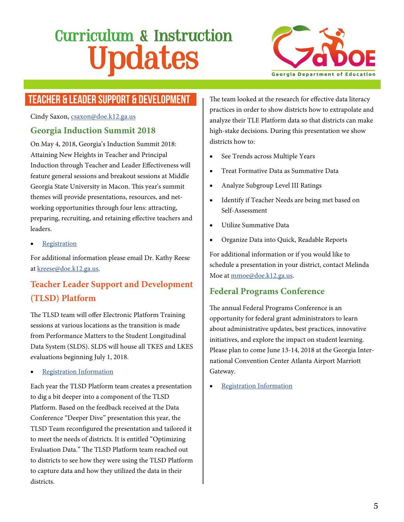

# TEACHER & LEADER SUPPORT & DEVELOPMENT

Cindy Saxon, [csaxon@doe.k12.ga.us](mailto:csaxon@doe.k12.ga.us)

#### **Georgia Induction Summit 2018**

On May 4, 2018, Georgia's Induction Summit 2018: Attaining New Heights in Teacher and Principal Induction through Teacher and Leader Effectiveness will feature general sessions and breakout sessions at Middle Georgia State University in Macon. This year's summit themes will provide presentations, resources, and networking opportunities through four lens: attracting, preparing, recruiting, and retaining effective teachers and leaders.

[Registration](http://www.ciclt.net/sn/resa/recl_application.aspx?ClientCode=mgresa&CL_ID=103988)

For additional information please email Dr. Kathy Reese at [kreese@doe.k12.ga.us](mailto:kreese@doe.k12.ga.us).

# **Teacher Leader Support and Development (TLSD) Platform**

The TLSD team will offer Electronic Platform Training sessions at various locations as the transition is made from Performance Matters to the Student Longitudinal Data System (SLDS). SLDS will house all TKES and LKES evaluations beginning July 1, 2018.

[Registration Information](http://www.gadoe.org/School-Improvement/Teacher-and-Leader-Effectiveness/Documents/TLSD%20NewsLetter/March%20updates.pdf)

Each year the TLSD Platform team creates a presentation to dig a bit deeper into a component of the TLSD Platform. Based on the feedback received at the Data Conference "Deeper Dive" presentation this year, the TLSD Team reconfigured the presentation and tailored it to meet the needs of districts. It is entitled "Optimizing Evaluation Data." The TLSD Platform team reached out to districts to see how they were using the TLSD Platform to capture data and how they utilized the data in their districts.

The team looked at the research for effective data literacy practices in order to show districts how to extrapolate and analyze their TLE Platform data so that districts can make high-stake decisions. During this presentation we show districts how to:

- See Trends across Multiple Years
- Treat Formative Data as Summative Data
- Analyze Subgroup Level III Ratings
- Identify if Teacher Needs are being met based on Self-Assessment
- Utilize Summative Data
- Organize Data into Quick, Readable Reports

For additional information or if you would like to schedule a presentation in your district, contact Melinda Moe at [mmoe@doe.k12.ga.us.](mailto:mmoe@doe.k12.ga.us)

#### **Federal Programs Conference**

The annual Federal Programs Conference is an opportunity for federal grant administrators to learn about administrative updates, best practices, innovative initiatives, and explore the impact on student learning. Please plan to come June 13-14, 2018 at the Georgia International Convention Center Atlanta Airport Marriott Gateway.

[Registration Information](https://mailchi.mp/24995a0e43d5/federal-programs-update-253495?e=617484fab2)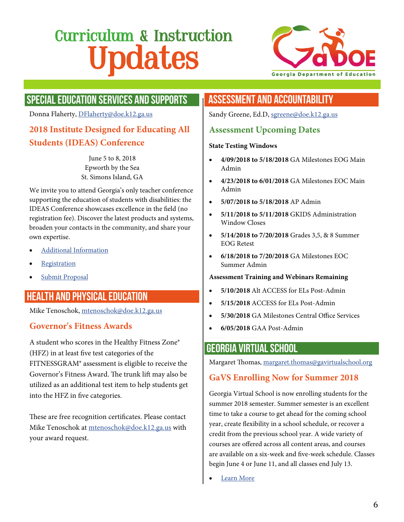

# SPECIAL EDUCATION SERVICES AND SUPPORTS

Donna Flaherty, [DFlaherty@doe.k12.ga.us](mailto:DFlaherty@doe.k12.ga.us)

#### **2018 Institute Designed for Educating All Students (IDEAS) Conference**

June 5 to 8, 2018 Epworth by the Sea St. Simons Island, GA

We invite you to attend Georgia's only teacher conference supporting the education of students with disabilities: the IDEAS Conference showcases excellence in the field (no registration fee). Discover the latest products and systems, broaden your contacts in the community, and share your own expertise.

- [Additional Information](http://www.gadoe.org/Curriculum-Instruction-and-Assessment/Special-Education-Services/Pages/IDEAS/IDEAS-Conference.aspx)
- [Registration](http://www.gadoe.org/Curriculum-Instruction-and-Assessment/Special-Education-Services/Pages/IDEAS/IDEAS-Conference.aspx)
- [Submit Proposal](http://www.gadoe.org/Curriculum-Instruction-and-Assessment/Special-Education-Services/Pages/IDEAS/IDEAS-Conference.aspx)

# HEALTH AND PHYSICAL EDUCATION

Mike Tenoschok, [mtenoschok@doe.k12.ga.us](mailto:mtenoschok@doe.k12.ga.us)

#### **Governor's Fitness Awards**

A student who scores in the Healthy Fitness Zone® (HFZ) in at least five test categories of the FITNESSGRAM® assessment is eligible to receive the Governor's Fitness Award. The trunk lift may also be utilized as an additional test item to help students get into the HFZ in five categories.

These are free recognition certificates. Please contact Mike Tenoschok at [mtenoschok@doe.k12.ga.us](mailto:mtenoschok@doe.k12.ga.us) with your award request.

### ASSESSMENT AND ACCOUNTABILITY

Sandy Greene, Ed.D, [sgreene@doe.k12.ga.us](mailto:sgreene@doe.k12.ga.us)

#### **Assessment Upcoming Dates**

#### **State Testing Windows**

- **4/09/2018 to 5/18/2018** GA Milestones EOG Main Admin
- **4/23/2018 to 6/01/2018** GA Milestones EOC Main Admin
- **5/07/2018 to 5/18/2018** AP Admin
- **5/11/2018 to 5/11/2018** GKIDS Administration Window Closes
- **5/14/2018 to 7/20/2018** Grades 3,5, & 8 Summer EOG Retest
- **6/18/2018 to 7/20/2018** GA Milestones EOC Summer Admin

#### **Assessment Training and Webinars Remaining**

- **5/10/2018** Alt ACCESS for ELs Post-Admin
- **5/15/2018** ACCESS for ELs Post-Admin
- **5/30/2018** GA Milestones Central Office Services
- **6/05/2018** GAA Post-Admin

#### GEORGIA VIRTUAL SCHOOL

Margaret Thomas, [margaret.thomas@gavirtualschool.org](mailto:margaret.thomas@gavirtualschool.org)

#### **GaVS Enrolling Now for Summer 2018**

Georgia Virtual School is now enrolling students for the summer 2018 semester. Summer semester is an excellent time to take a course to get ahead for the coming school year, create flexibility in a school schedule, or recover a credit from the previous school year. A wide variety of courses are offered across all content areas, and courses are available on a six-week and five-week schedule. Classes begin June 4 or June 11, and all classes end July 13.

[Learn More](http://www.gavirtualschool.org)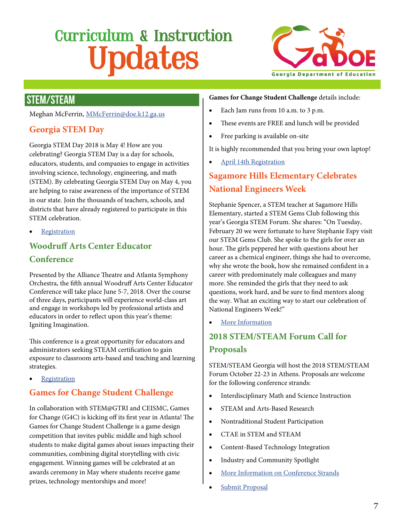

# STEM/STEAM

Meghan McFerrin, [MMcFerrin@doe.k12.ga.us](mailto:MMcFerrin@doe.k12.ga.us)

#### **Georgia STEM Day**

Georgia STEM Day 2018 is May 4! How are you celebrating? Georgia STEM Day is a day for schools, educators, students, and companies to engage in activities involving science, technology, engineering, and math (STEM). By celebrating Georgia STEM Day on May 4, you are helping to raise awareness of the importance of STEM in our state. Join the thousands of teachers, schools, and districts that have already registered to participate in this STEM celebration.

[Registration](https://www.tagedonline.org/programs/georgia-stem-day/)

### **Woodruff Arts Center Educator Conference**

Presented by the Alliance Theatre and Atlanta Symphony Orchestra, the fifth annual Woodruff Arts Center Educator Conference will take place June 5-7, 2018. Over the course of three days, participants will experience world-class art and engage in workshops led by professional artists and educators in order to reflect upon this year's theme: Igniting Imagination.

This conference is a great opportunity for educators and administrators seeking STEAM certification to gain exposure to classroom arts-based and teaching and learning strategies.

**[Registration](https://www.woodruffcenter.org/programs/educator-conference/)** 

#### **Games for Change Student Challenge**

In collaboration with STEM@GTRI and CEISMC, Games for Change (G4C) is kicking off its first year in Atlanta! The Games for Change Student Challenge is a game design competition that invites public middle and high school students to make digital games about issues impacting their communities, combining digital storytelling with civic engagement. Winning games will be celebrated at an awards ceremony in May where students receive game prizes, technology mentorships and more!

#### **Games for Change Student Challenge** details include:

- Each Jam runs from 10 a.m. to 3 p.m.
- These events are FREE and lunch will be provided
- Free parking is available on-site

It is highly recommended that you bring your own laptop!

[April 14th Registration](https://www.eventbrite.com/e/g4c-atlanta-april-14th-game-jam-tickets-43205607134?mc_eid=4e96604554&mc_cid=5877f7204d)

### **Sagamore Hills Elementary Celebrates National Engineers Week**

Stephanie Spencer, a STEM teacher at Sagamore Hills Elementary, started a STEM Gems Club following this year's Georgia STEM Forum. She shares: "On Tuesday, February 20 we were fortunate to have Stephanie Espy visit our STEM Gems Club. She spoke to the girls for over an hour. The girls peppered her with questions about her career as a chemical engineer, things she had to overcome, why she wrote the book, how she remained confident in a career with predominately male colleagues and many more. She reminded the girls that they need to ask questions, work hard, and be sure to find mentors along the way. What an exciting way to start our celebration of National Engineers Week!"

[More Information](http://stemgemsbook.com/stem-gems-book/)

#### **2018 STEM/STEAM Forum Call for Proposals**

STEM/STEAM Georgia will host the 2018 STEM/STEAM Forum October 22-23 in Athens. Proposals are welcome for the following conference strands:

- Interdisciplinary Math and Science Instruction
- STEAM and Arts-Based Research
- Nontraditional Student Participation
- CTAE in STEM and STEAM
- Content-Based Technology Integration
- Industry and Community Spotlight
- [More Information on Conference Strands](http://stem.wpgadoe.org/wp-content/uploads/2018/03/STEM-Forum-Flyer.pdf)
- [Submit Proposal](https://docs.google.com/forms/d/e/1FAIpQLSesItRrvA3RCp9AQ1q9gAiT_pPMhymycQvYy7RJQle4fgb-GQ/viewform)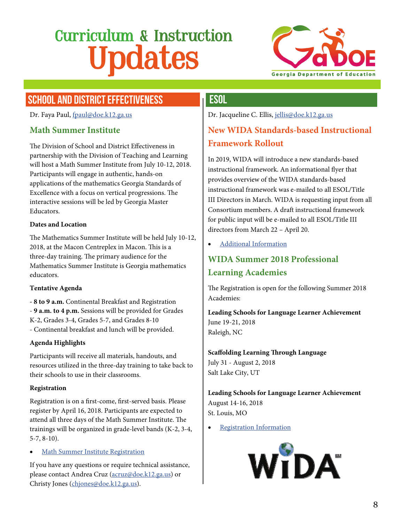

# SCHOOL AND DISTRICT EFFECTIVENESS

Dr. Faya Paul, [fpaul@doe.k12.ga.us](mailto:fpaul@doe.k12.ga.us)

#### **Math Summer Institute**

The Division of School and District Effectiveness in partnership with the Division of Teaching and Learning will host a Math Summer Institute from July 10-12, 2018. Participants will engage in authentic, hands-on applications of the mathematics Georgia Standards of Excellence with a focus on vertical progressions. The interactive sessions will be led by Georgia Master Educators.

#### **Dates and Location**

The Mathematics Summer Institute will be held July 10-12, 2018, at the Macon Centreplex in Macon. This is a three-day training. The primary audience for the Mathematics Summer Institute is Georgia mathematics educators.

#### **Tentative Agenda**

**- 8 to 9 a.m.** Continental Breakfast and Registration - **9 a.m. to 4 p.m.** Sessions will be provided for Grades K-2, Grades 3-4, Grades 5-7, and Grades 8-10 - Continental breakfast and lunch will be provided.

#### **Agenda Highlights**

Participants will receive all materials, handouts, and resources utilized in the three-day training to take back to their schools to use in their classrooms.

#### **Registration**

Registration is on a first-come, first-served basis. Please register by April 16, 2018. Participants are expected to attend all three days of the Math Summer Institute. The trainings will be organized in grade-level bands (K-2, 3-4, 5-7, 8-10).

[Math Summer Institute Registration](https://form.jotform.com/schoolimprovement/summer-math-institute-july-10-12-20)

If you have any questions or require technical assistance, please contact Andrea Cruz ([acruz@doe.k12.ga.us](mailto:acruz@doe.k12.ga.us)) or Christy Jones ([chjones@doe.k12.ga.us\)](mailto:chjones@doe.k12.ga.us).

#### **ESOL**

Dr. Jacqueline C. Ellis, [jellis@doe.k12.ga.us](mailto:jellis@doe.k12.ga.us)

### **New WIDA Standards-based Instructional Framework Rollout**

In 2019, WIDA will introduce a new standards-based instructional framework. An informational flyer that provides overview of the WIDA standards-based instructional framework was e-mailed to all ESOL/Title III Directors in March. WIDA is requesting input from all Consortium members. A draft instructional framework for public input will be e-mailed to all ESOL/Title III directors from March 22 – April 20.

[Additional Information](http://wida.us/standards)

# **WIDA Summer 2018 Professional Learning Academies**

The Registration is open for the following Summer 2018 Academies:

**Leading Schools for Language Learner Achievement** June 19-21, 2018 Raleigh, NC

**Scaffolding Learning Through Language** July 31 - August 2, 2018 Salt Lake City, UT

**Leading Schools for Language Learner Achievement** August 14-16, 2018 St. Louis, MO

[Registration Information](https://www.wida.us/ProfessionalDev/academies/)